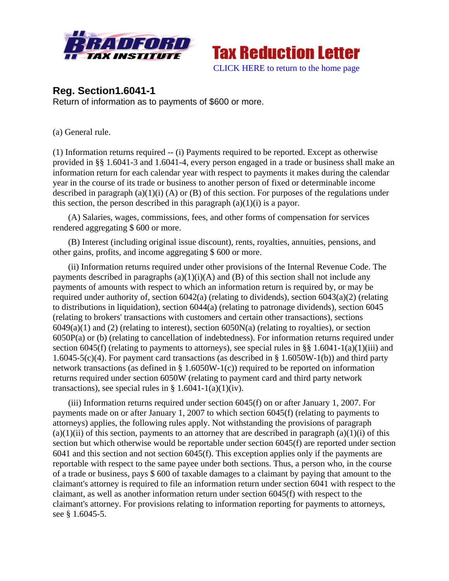



## **Reg. Section1.6041-1**

Return of information as to payments of \$600 or more.

(a) General rule.

(1) Information returns required -- (i) Payments required to be reported. Except as otherwise provided in §§ 1.6041-3 and 1.6041-4, every person engaged in a trade or business shall make an information return for each calendar year with respect to payments it makes during the calendar year in the course of its trade or business to another person of fixed or determinable income described in paragraph (a)(1)(i) (A) or (B) of this section. For purposes of the regulations under this section, the person described in this paragraph  $(a)(1)(i)$  is a payor.

 (A) Salaries, wages, commissions, fees, and other forms of compensation for services rendered aggregating \$ 600 or more.

 (B) Interest (including original issue discount), rents, royalties, annuities, pensions, and other gains, profits, and income aggregating \$ 600 or more.

 (ii) Information returns required under other provisions of the Internal Revenue Code. The payments described in paragraphs  $(a)(1)(i)(A)$  and  $(B)$  of this section shall not include any payments of amounts with respect to which an information return is required by, or may be required under authority of, section 6042(a) (relating to dividends), section 6043(a)(2) (relating to distributions in liquidation), section 6044(a) (relating to patronage dividends), section 6045 (relating to brokers' transactions with customers and certain other transactions), sections  $6049(a)(1)$  and (2) (relating to interest), section  $6050N(a)$  (relating to royalties), or section 6050P(a) or (b) (relating to cancellation of indebtedness). For information returns required under section 6045(f) (relating to payments to attorneys), see special rules in §§ 1.6041-1(a)(1)(iii) and 1.6045-5(c)(4). For payment card transactions (as described in § 1.6050W-1(b)) and third party network transactions (as defined in § 1.6050W-1(c)) required to be reported on information returns required under section 6050W (relating to payment card and third party network transactions), see special rules in  $\S$  1.6041-1(a)(1)(iv).

 (iii) Information returns required under section 6045(f) on or after January 1, 2007. For payments made on or after January 1, 2007 to which section 6045(f) (relating to payments to attorneys) applies, the following rules apply. Not withstanding the provisions of paragraph  $(a)(1)(ii)$  of this section, payments to an attorney that are described in paragraph  $(a)(1)(i)$  of this section but which otherwise would be reportable under section 6045(f) are reported under section 6041 and this section and not section 6045(f). This exception applies only if the payments are reportable with respect to the same payee under both sections. Thus, a person who, in the course of a trade or business, pays \$ 600 of taxable damages to a claimant by paying that amount to the claimant's attorney is required to file an information return under section 6041 with respect to the claimant, as well as another information return under section 6045(f) with respect to the claimant's attorney. For provisions relating to information reporting for payments to attorneys, see § 1.6045-5.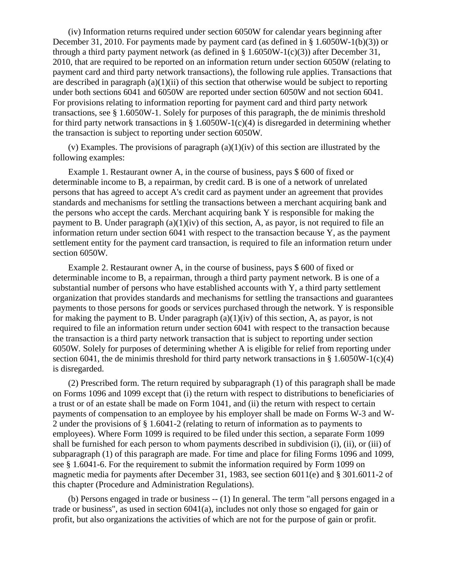(iv) Information returns required under section 6050W for calendar years beginning after December 31, 2010. For payments made by payment card (as defined in § 1.6050W-1(b)(3)) or through a third party payment network (as defined in § 1.6050W-1(c)(3)) after December 31, 2010, that are required to be reported on an information return under section 6050W (relating to payment card and third party network transactions), the following rule applies. Transactions that are described in paragraph  $(a)(1)(ii)$  of this section that otherwise would be subject to reporting under both sections 6041 and 6050W are reported under section 6050W and not section 6041*.* For provisions relating to information reporting for payment card and third party network transactions, see § 1.6050W-1. Solely for purposes of this paragraph, the de minimis threshold for third party network transactions in  $\S 1.6050W-1(c)(4)$  is disregarded in determining whether the transaction is subject to reporting under section 6050W*.*

 (v) Examples. The provisions of paragraph (a)(1)(iv) of this section are illustrated by the following examples:

 Example 1. Restaurant owner A, in the course of business, pays \$ 600 of fixed or determinable income to B, a repairman, by credit card. B is one of a network of unrelated persons that has agreed to accept A's credit card as payment under an agreement that provides standards and mechanisms for settling the transactions between a merchant acquiring bank and the persons who accept the cards. Merchant acquiring bank Y is responsible for making the payment to B. Under paragraph  $(a)(1)(iv)$  of this section, A, as payor, is not required to file an information return under section 6041 with respect to the transaction because Y, as the payment settlement entity for the payment card transaction, is required to file an information return under section 6050W*.*

 Example 2. Restaurant owner A, in the course of business, pays \$ 600 of fixed or determinable income to B, a repairman, through a third party payment network. B is one of a substantial number of persons who have established accounts with Y, a third party settlement organization that provides standards and mechanisms for settling the transactions and guarantees payments to those persons for goods or services purchased through the network. Y is responsible for making the payment to B. Under paragraph  $(a)(1)(iv)$  of this section, A, as payor, is not required to file an information return under section 6041 with respect to the transaction because the transaction is a third party network transaction that is subject to reporting under section 6050W*.* Solely for purposes of determining whether A is eligible for relief from reporting under section 6041, the de minimis threshold for third party network transactions in  $\S$  1.6050W-1(c)(4) is disregarded.

 (2) Prescribed form. The return required by subparagraph (1) of this paragraph shall be made on Forms 1096 and 1099 except that (i) the return with respect to distributions to beneficiaries of a trust or of an estate shall be made on Form 1041, and (ii) the return with respect to certain payments of compensation to an employee by his employer shall be made on Forms W-3 and W-2 under the provisions of § 1.6041-2 (relating to return of information as to payments to employees). Where Form 1099 is required to be filed under this section, a separate Form 1099 shall be furnished for each person to whom payments described in subdivision (i), (ii), or (iii) of subparagraph (1) of this paragraph are made. For time and place for filing Forms 1096 and 1099, see § 1.6041-6. For the requirement to submit the information required by Form 1099 on magnetic media for payments after December 31, 1983, see section 6011(e) and § 301.6011-2 of this chapter (Procedure and Administration Regulations).

 (b) Persons engaged in trade or business -- (1) In general. The term "all persons engaged in a trade or business", as used in section 6041(a), includes not only those so engaged for gain or profit, but also organizations the activities of which are not for the purpose of gain or profit.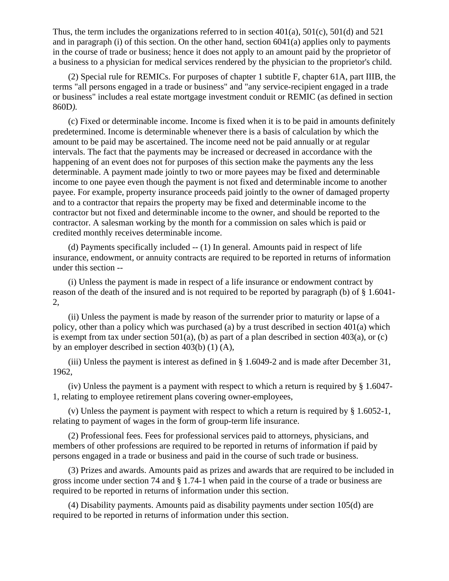Thus, the term includes the organizations referred to in section  $401(a)$ ,  $501(c)$ ,  $501(d)$  and  $521$ and in paragraph (i) of this section. On the other hand, section 6041(a) applies only to payments in the course of trade or business; hence it does not apply to an amount paid by the proprietor of a business to a physician for medical services rendered by the physician to the proprietor's child.

 (2) Special rule for REMICs. For purposes of chapter 1 subtitle F, chapter 61A, part IIIB, the terms "all persons engaged in a trade or business" and "any service-recipient engaged in a trade or business" includes a real estate mortgage investment conduit or REMIC (as defined in section 860D*).*

 (c) Fixed or determinable income. Income is fixed when it is to be paid in amounts definitely predetermined. Income is determinable whenever there is a basis of calculation by which the amount to be paid may be ascertained. The income need not be paid annually or at regular intervals. The fact that the payments may be increased or decreased in accordance with the happening of an event does not for purposes of this section make the payments any the less determinable. A payment made jointly to two or more payees may be fixed and determinable income to one payee even though the payment is not fixed and determinable income to another payee. For example, property insurance proceeds paid jointly to the owner of damaged property and to a contractor that repairs the property may be fixed and determinable income to the contractor but not fixed and determinable income to the owner, and should be reported to the contractor. A salesman working by the month for a commission on sales which is paid or credited monthly receives determinable income.

 (d) Payments specifically included -- (1) In general. Amounts paid in respect of life insurance, endowment, or annuity contracts are required to be reported in returns of information under this section --

 (i) Unless the payment is made in respect of a life insurance or endowment contract by reason of the death of the insured and is not required to be reported by paragraph (b) of § 1.6041- 2,

 (ii) Unless the payment is made by reason of the surrender prior to maturity or lapse of a policy, other than a policy which was purchased (a) by a trust described in section 401(a) which is exempt from tax under section 501(a), (b) as part of a plan described in section 403(a), or (c) by an employer described in section 403(b) (1) (A),

 (iii) Unless the payment is interest as defined in § 1.6049-2 and is made after December 31, 1962,

(iv) Unless the payment is a payment with respect to which a return is required by  $\S 1.6047$ -1, relating to employee retirement plans covering owner-employees,

 (v) Unless the payment is payment with respect to which a return is required by § 1.6052-1, relating to payment of wages in the form of group-term life insurance.

 (2) Professional fees. Fees for professional services paid to attorneys, physicians, and members of other professions are required to be reported in returns of information if paid by persons engaged in a trade or business and paid in the course of such trade or business.

 (3) Prizes and awards. Amounts paid as prizes and awards that are required to be included in gross income under section 74 and § 1.74-1 when paid in the course of a trade or business are required to be reported in returns of information under this section.

 (4) Disability payments. Amounts paid as disability payments under section 105(d) are required to be reported in returns of information under this section.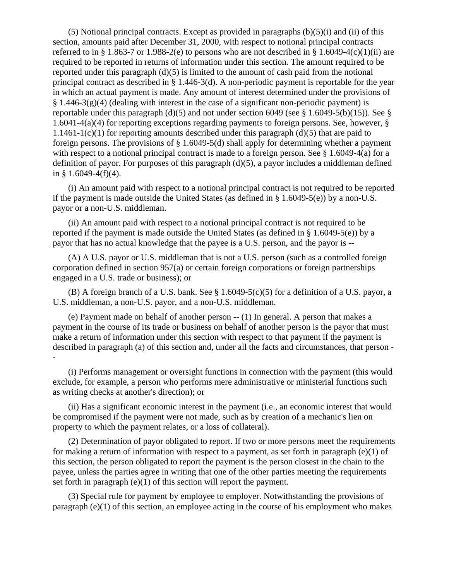$(5)$  Notional principal contracts. Except as provided in paragraphs  $(b)(5)(i)$  and  $(ii)$  of this section, amounts paid after December 31, 2000, with respect to notional principal contracts referred to in § 1.863-7 or 1.988-2(e) to persons who are not described in § 1.6049-4(c)(1)(ii) are required to be reported in returns of information under this section. The amount required to be reported under this paragraph  $(d)(5)$  is limited to the amount of cash paid from the notional principal contract as described in § 1.446-3(d). A non-periodic payment is reportable for the year in which an actual payment is made. Any amount of interest determined under the provisions of  $\S 1.446-3(g)(4)$  (dealing with interest in the case of a significant non-periodic payment) is reportable under this paragraph (d)(5) and not under section 6049 (see  $\S$  1.6049-5(b)(15)). See  $\S$ 1.6041-4(a)(4) for reporting exceptions regarding payments to foreign persons. See, however, § 1.1461-1(c)(1) for reporting amounts described under this paragraph (d)(5) that are paid to foreign persons. The provisions of § 1.6049-5(d) shall apply for determining whether a payment with respect to a notional principal contract is made to a foreign person. See § 1.6049-4(a) for a definition of payor. For purposes of this paragraph  $(d)(5)$ , a payor includes a middleman defined in § 1.6049-4(f)(4).

 (i) An amount paid with respect to a notional principal contract is not required to be reported if the payment is made outside the United States (as defined in § 1.6049-5(e)) by a non-U.S. payor or a non-U.S. middleman.

 (ii) An amount paid with respect to a notional principal contract is not required to be reported if the payment is made outside the United States (as defined in § 1.6049-5(e)) by a payor that has no actual knowledge that the payee is a U.S. person, and the payor is --

 (A) A U.S. payor or U.S. middleman that is not a U.S. person (such as a controlled foreign corporation defined in section 957(a) or certain foreign corporations or foreign partnerships engaged in a U.S. trade or business); or

 (B) A foreign branch of a U.S. bank. See § 1.6049-5(c)(5) for a definition of a U.S. payor, a U.S. middleman, a non-U.S. payor, and a non-U.S. middleman.

 (e) Payment made on behalf of another person -- (1) In general. A person that makes a payment in the course of its trade or business on behalf of another person is the payor that must make a return of information under this section with respect to that payment if the payment is described in paragraph (a) of this section and, under all the facts and circumstances, that person - -

 (i) Performs management or oversight functions in connection with the payment (this would exclude, for example, a person who performs mere administrative or ministerial functions such as writing checks at another's direction); or

 (ii) Has a significant economic interest in the payment (i.e., an economic interest that would be compromised if the payment were not made, such as by creation of a mechanic's lien on property to which the payment relates, or a loss of collateral).

 (2) Determination of payor obligated to report. If two or more persons meet the requirements for making a return of information with respect to a payment, as set forth in paragraph  $(e)(1)$  of this section, the person obligated to report the payment is the person closest in the chain to the payee, unless the parties agree in writing that one of the other parties meeting the requirements set forth in paragraph  $(e)(1)$  of this section will report the payment.

 (3) Special rule for payment by employee to employer. Notwithstanding the provisions of paragraph (e)(1) of this section, an employee acting in the course of his employment who makes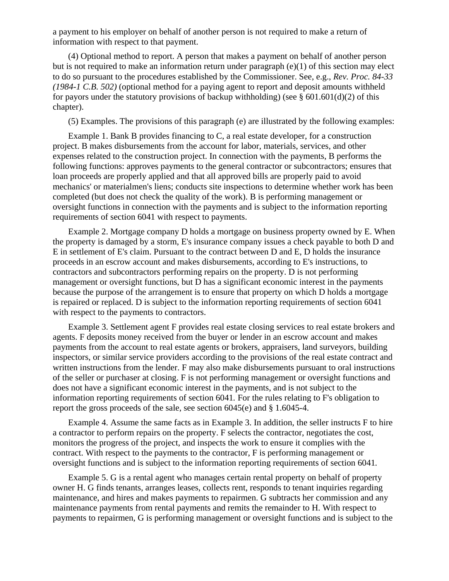a payment to his employer on behalf of another person is not required to make a return of information with respect to that payment.

 (4) Optional method to report. A person that makes a payment on behalf of another person but is not required to make an information return under paragraph  $(e)(1)$  of this section may elect to do so pursuant to the procedures established by the Commissioner. See, e.g., *Rev. Proc. 84-33 (1984-1 C.B. 502)* (optional method for a paying agent to report and deposit amounts withheld for payors under the statutory provisions of backup withholding) (see  $\S$  601.601(d)(2) of this chapter).

(5) Examples. The provisions of this paragraph (e) are illustrated by the following examples:

 Example 1. Bank B provides financing to C, a real estate developer, for a construction project. B makes disbursements from the account for labor, materials, services, and other expenses related to the construction project. In connection with the payments, B performs the following functions: approves payments to the general contractor or subcontractors; ensures that loan proceeds are properly applied and that all approved bills are properly paid to avoid mechanics' or materialmen's liens; conducts site inspections to determine whether work has been completed (but does not check the quality of the work). B is performing management or oversight functions in connection with the payments and is subject to the information reporting requirements of section 6041 with respect to payments.

 Example 2. Mortgage company D holds a mortgage on business property owned by E. When the property is damaged by a storm, E's insurance company issues a check payable to both D and E in settlement of E's claim. Pursuant to the contract between D and E, D holds the insurance proceeds in an escrow account and makes disbursements, according to E's instructions, to contractors and subcontractors performing repairs on the property. D is not performing management or oversight functions, but D has a significant economic interest in the payments because the purpose of the arrangement is to ensure that property on which D holds a mortgage is repaired or replaced. D is subject to the information reporting requirements of section 6041 with respect to the payments to contractors.

 Example 3. Settlement agent F provides real estate closing services to real estate brokers and agents. F deposits money received from the buyer or lender in an escrow account and makes payments from the account to real estate agents or brokers, appraisers, land surveyors, building inspectors, or similar service providers according to the provisions of the real estate contract and written instructions from the lender. F may also make disbursements pursuant to oral instructions of the seller or purchaser at closing. F is not performing management or oversight functions and does not have a significant economic interest in the payments, and is not subject to the information reporting requirements of section 6041*.* For the rules relating to F's obligation to report the gross proceeds of the sale, see section 6045(e) and § 1.6045-4.

 Example 4. Assume the same facts as in Example 3. In addition, the seller instructs F to hire a contractor to perform repairs on the property. F selects the contractor, negotiates the cost, monitors the progress of the project, and inspects the work to ensure it complies with the contract. With respect to the payments to the contractor, F is performing management or oversight functions and is subject to the information reporting requirements of section 6041*.*

 Example 5. G is a rental agent who manages certain rental property on behalf of property owner H. G finds tenants, arranges leases, collects rent, responds to tenant inquiries regarding maintenance, and hires and makes payments to repairmen. G subtracts her commission and any maintenance payments from rental payments and remits the remainder to H. With respect to payments to repairmen, G is performing management or oversight functions and is subject to the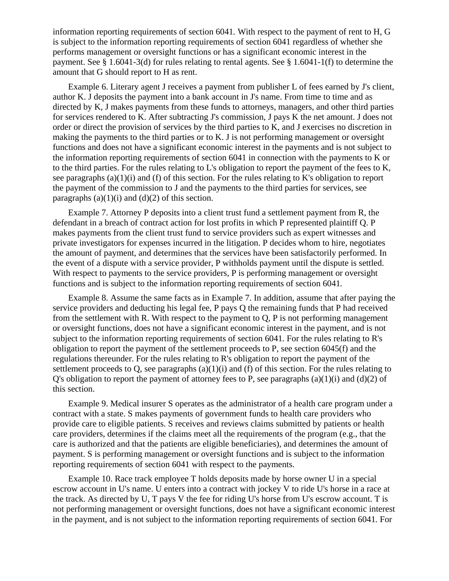information reporting requirements of section 6041*.* With respect to the payment of rent to H, G is subject to the information reporting requirements of section 6041 regardless of whether she performs management or oversight functions or has a significant economic interest in the payment. See § 1.6041-3(d) for rules relating to rental agents. See § 1.6041-1(f) to determine the amount that G should report to H as rent.

 Example 6. Literary agent J receives a payment from publisher L of fees earned by J's client, author K. J deposits the payment into a bank account in J's name. From time to time and as directed by K, J makes payments from these funds to attorneys, managers, and other third parties for services rendered to K. After subtracting J's commission, J pays K the net amount. J does not order or direct the provision of services by the third parties to K, and J exercises no discretion in making the payments to the third parties or to K. J is not performing management or oversight functions and does not have a significant economic interest in the payments and is not subject to the information reporting requirements of section 6041 in connection with the payments to K or to the third parties. For the rules relating to L's obligation to report the payment of the fees to K, see paragraphs  $(a)(1)(i)$  and  $(f)$  of this section. For the rules relating to K's obligation to report the payment of the commission to J and the payments to the third parties for services, see paragraphs  $(a)(1)(i)$  and  $(d)(2)$  of this section.

 Example 7. Attorney P deposits into a client trust fund a settlement payment from R, the defendant in a breach of contract action for lost profits in which P represented plaintiff Q. P makes payments from the client trust fund to service providers such as expert witnesses and private investigators for expenses incurred in the litigation. P decides whom to hire, negotiates the amount of payment, and determines that the services have been satisfactorily performed. In the event of a dispute with a service provider, P withholds payment until the dispute is settled. With respect to payments to the service providers, P is performing management or oversight functions and is subject to the information reporting requirements of section 6041*.*

 Example 8. Assume the same facts as in Example 7. In addition, assume that after paying the service providers and deducting his legal fee, P pays Q the remaining funds that P had received from the settlement with R. With respect to the payment to Q, P is not performing management or oversight functions, does not have a significant economic interest in the payment, and is not subject to the information reporting requirements of section 6041*.* For the rules relating to R's obligation to report the payment of the settlement proceeds to P, see section 6045(f) and the regulations thereunder. For the rules relating to R's obligation to report the payment of the settlement proceeds to Q, see paragraphs (a)(1)(i) and (f) of this section. For the rules relating to Q's obligation to report the payment of attorney fees to P, see paragraphs  $(a)(1)(i)$  and  $(d)(2)$  of this section.

 Example 9. Medical insurer S operates as the administrator of a health care program under a contract with a state. S makes payments of government funds to health care providers who provide care to eligible patients. S receives and reviews claims submitted by patients or health care providers, determines if the claims meet all the requirements of the program (e.g., that the care is authorized and that the patients are eligible beneficiaries), and determines the amount of payment. S is performing management or oversight functions and is subject to the information reporting requirements of section 6041 with respect to the payments.

 Example 10. Race track employee T holds deposits made by horse owner U in a special escrow account in U's name. U enters into a contract with jockey V to ride U's horse in a race at the track. As directed by U, T pays V the fee for riding U's horse from U's escrow account. T is not performing management or oversight functions, does not have a significant economic interest in the payment, and is not subject to the information reporting requirements of section 6041*.* For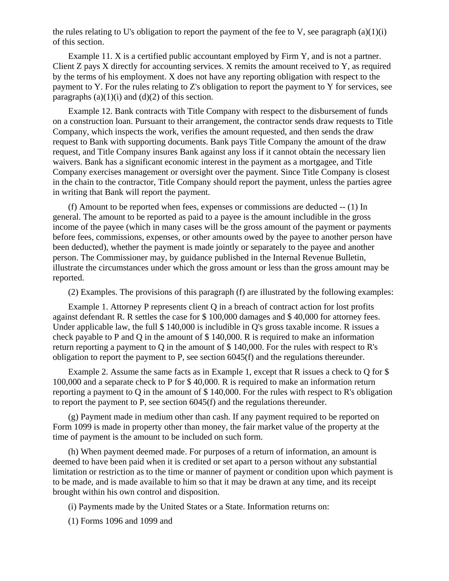the rules relating to U's obligation to report the payment of the fee to V, see paragraph  $(a)(1)(i)$ of this section.

 Example 11. X is a certified public accountant employed by Firm Y, and is not a partner. Client Z pays X directly for accounting services. X remits the amount received to Y, as required by the terms of his employment. X does not have any reporting obligation with respect to the payment to Y. For the rules relating to Z's obligation to report the payment to Y for services, see paragraphs  $(a)(1)(i)$  and  $(d)(2)$  of this section.

 Example 12. Bank contracts with Title Company with respect to the disbursement of funds on a construction loan. Pursuant to their arrangement, the contractor sends draw requests to Title Company, which inspects the work, verifies the amount requested, and then sends the draw request to Bank with supporting documents. Bank pays Title Company the amount of the draw request, and Title Company insures Bank against any loss if it cannot obtain the necessary lien waivers. Bank has a significant economic interest in the payment as a mortgagee, and Title Company exercises management or oversight over the payment. Since Title Company is closest in the chain to the contractor, Title Company should report the payment, unless the parties agree in writing that Bank will report the payment.

 (f) Amount to be reported when fees, expenses or commissions are deducted -- (1) In general. The amount to be reported as paid to a payee is the amount includible in the gross income of the payee (which in many cases will be the gross amount of the payment or payments before fees, commissions, expenses, or other amounts owed by the payee to another person have been deducted), whether the payment is made jointly or separately to the payee and another person. The Commissioner may, by guidance published in the Internal Revenue Bulletin, illustrate the circumstances under which the gross amount or less than the gross amount may be reported.

(2) Examples. The provisions of this paragraph (f) are illustrated by the following examples:

 Example 1. Attorney P represents client Q in a breach of contract action for lost profits against defendant R. R settles the case for \$ 100,000 damages and \$ 40,000 for attorney fees. Under applicable law, the full \$ 140,000 is includible in Q's gross taxable income. R issues a check payable to P and Q in the amount of \$ 140,000. R is required to make an information return reporting a payment to Q in the amount of \$ 140,000. For the rules with respect to R's obligation to report the payment to P, see section 6045(f) and the regulations thereunder.

 Example 2. Assume the same facts as in Example 1, except that R issues a check to Q for \$ 100,000 and a separate check to P for \$ 40,000. R is required to make an information return reporting a payment to Q in the amount of \$ 140,000. For the rules with respect to R's obligation to report the payment to P, see section 6045(f) and the regulations thereunder.

 (g) Payment made in medium other than cash. If any payment required to be reported on Form 1099 is made in property other than money, the fair market value of the property at the time of payment is the amount to be included on such form.

 (h) When payment deemed made. For purposes of a return of information, an amount is deemed to have been paid when it is credited or set apart to a person without any substantial limitation or restriction as to the time or manner of payment or condition upon which payment is to be made, and is made available to him so that it may be drawn at any time, and its receipt brought within his own control and disposition.

(i) Payments made by the United States or a State. Information returns on:

(1) Forms 1096 and 1099 and